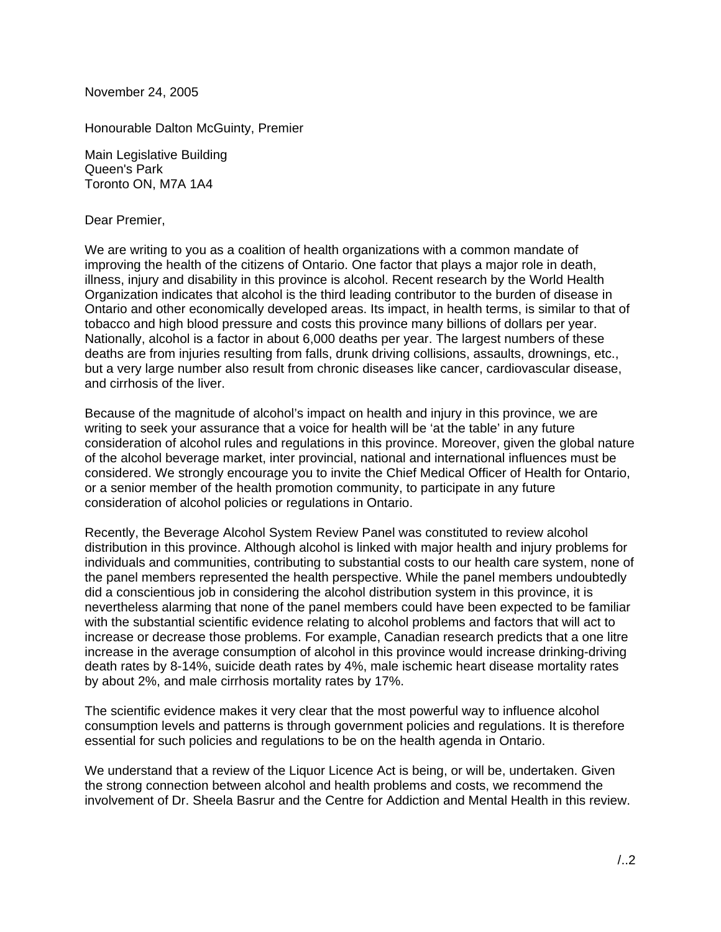November 24, 2005

Honourable Dalton McGuinty, Premier

Main Legislative Building Queen's Park Toronto ON, M7A 1A4

Dear Premier,

We are writing to you as a coalition of health organizations with a common mandate of improving the health of the citizens of Ontario. One factor that plays a major role in death, illness, injury and disability in this province is alcohol. Recent research by the World Health Organization indicates that alcohol is the third leading contributor to the burden of disease in Ontario and other economically developed areas. Its impact, in health terms, is similar to that of tobacco and high blood pressure and costs this province many billions of dollars per year. Nationally, alcohol is a factor in about 6,000 deaths per year. The largest numbers of these deaths are from injuries resulting from falls, drunk driving collisions, assaults, drownings, etc., but a very large number also result from chronic diseases like cancer, cardiovascular disease, and cirrhosis of the liver.

Because of the magnitude of alcohol's impact on health and injury in this province, we are writing to seek your assurance that a voice for health will be 'at the table' in any future consideration of alcohol rules and regulations in this province. Moreover, given the global nature of the alcohol beverage market, inter provincial, national and international influences must be considered. We strongly encourage you to invite the Chief Medical Officer of Health for Ontario, or a senior member of the health promotion community, to participate in any future consideration of alcohol policies or regulations in Ontario.

Recently, the Beverage Alcohol System Review Panel was constituted to review alcohol distribution in this province. Although alcohol is linked with major health and injury problems for individuals and communities, contributing to substantial costs to our health care system, none of the panel members represented the health perspective. While the panel members undoubtedly did a conscientious job in considering the alcohol distribution system in this province, it is nevertheless alarming that none of the panel members could have been expected to be familiar with the substantial scientific evidence relating to alcohol problems and factors that will act to increase or decrease those problems. For example, Canadian research predicts that a one litre increase in the average consumption of alcohol in this province would increase drinking-driving death rates by 8-14%, suicide death rates by 4%, male ischemic heart disease mortality rates by about 2%, and male cirrhosis mortality rates by 17%.

The scientific evidence makes it very clear that the most powerful way to influence alcohol consumption levels and patterns is through government policies and regulations. It is therefore essential for such policies and regulations to be on the health agenda in Ontario.

We understand that a review of the Liquor Licence Act is being, or will be, undertaken. Given the strong connection between alcohol and health problems and costs, we recommend the involvement of Dr. Sheela Basrur and the Centre for Addiction and Mental Health in this review.